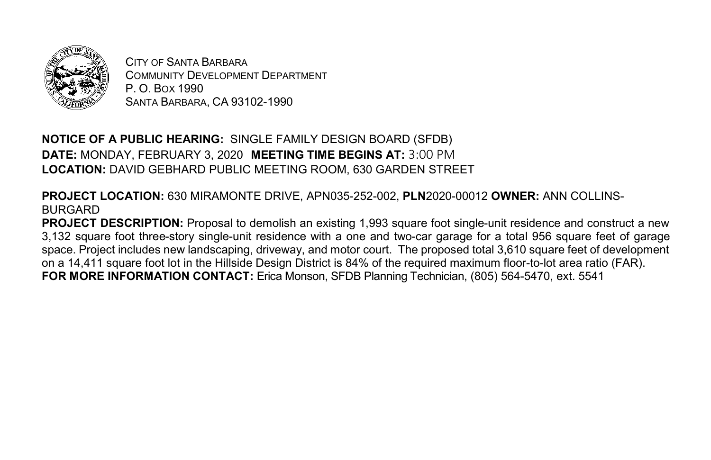

CITY OF SANTA BARBARA COMMUNITY DEVELOPMENT DEPARTMENT P. O. BOX 1990 SANTA BARBARA, CA 93102-1990

**NOTICE OF A PUBLIC HEARING:** SINGLE FAMILY DESIGN BOARD (SFDB) **DATE:** MONDAY, FEBRUARY 3, 2020 **MEETING TIME BEGINS AT:** 3:00 PM **LOCATION:** DAVID GEBHARD PUBLIC MEETING ROOM, 630 GARDEN STREET

**PROJECT LOCATION:** 630 MIRAMONTE DRIVE, APN035-252-002, **PLN**2020-00012 **OWNER:** ANN COLLINS-BURGARD

**PROJECT DESCRIPTION:** Proposal to demolish an existing 1,993 square foot single-unit residence and construct a new 3,132 square foot three-story single-unit residence with a one and two-car garage for a total 956 square feet of garage space. Project includes new landscaping, driveway, and motor court. The proposed total 3,610 square feet of development on a 14,411 square foot lot in the Hillside Design District is 84% of the required maximum floor-to-lot area ratio (FAR). **FOR MORE INFORMATION CONTACT:** Erica Monson, SFDB Planning Technician, (805) 564-5470, ext. 5541